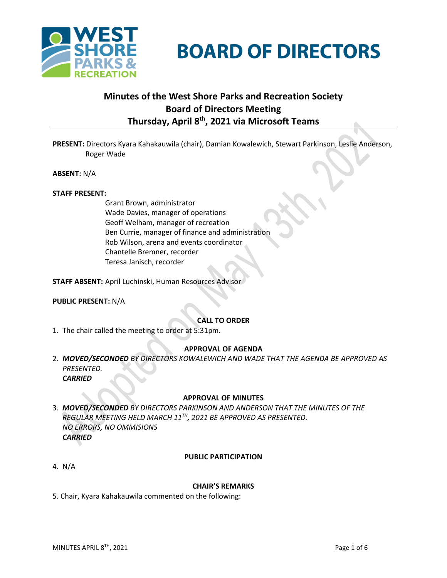



# **Minutes of the West Shore Parks and Recreation Society Board of Directors Meeting Thursday, April 8th , 2021 via Microsoft Teams**

**PRESENT:** Directors Kyara Kahakauwila (chair), Damian Kowalewich, Stewart Parkinson, Leslie Anderson, Roger Wade

**ABSENT:** N/A

#### **STAFF PRESENT:**

Grant Brown, administrator Wade Davies, manager of operations Geoff Welham, manager of recreation Ben Currie, manager of finance and administration Rob Wilson, arena and events coordinator Chantelle Bremner, recorder Teresa Janisch, recorder

**STAFF ABSENT:** April Luchinski, Human Resources Advisor

#### **PUBLIC PRESENT:** N/A

#### **CALL TO ORDER**

1. The chair called the meeting to order at 5:31pm.

#### **APPROVAL OF AGENDA**

2. *MOVED/SECONDED BY DIRECTORS KOWALEWICH AND WADE THAT THE AGENDA BE APPROVED AS PRESENTED. CARRIED*

#### **APPROVAL OF MINUTES**

3. *MOVED/SECONDED BY DIRECTORS PARKINSON AND ANDERSON THAT THE MINUTES OF THE REGULAR MEETING HELD MARCH 11 TH, 2021 BE APPROVED AS PRESENTED. NO ERRORS, NO OMMISIONS CARRIED*

#### **PUBLIC PARTICIPATION**

4. N/A

#### **CHAIR'S REMARKS**

5. Chair, Kyara Kahakauwila commented on the following: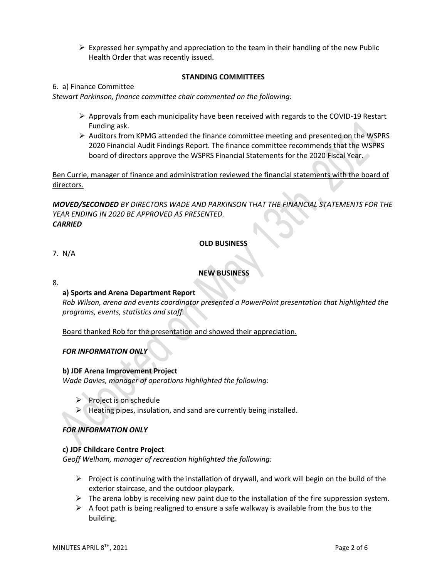$\triangleright$  Expressed her sympathy and appreciation to the team in their handling of the new Public Health Order that was recently issued.

#### **STANDING COMMITTEES**

#### 6. a) Finance Committee

*Stewart Parkinson, finance committee chair commented on the following:*

- ➢ Approvals from each municipality have been received with regards to the COVID-19 Restart Funding ask.
- ➢ Auditors from KPMG attended the finance committee meeting and presented on the WSPRS 2020 Financial Audit Findings Report. The finance committee recommends that the WSPRS board of directors approve the WSPRS Financial Statements for the 2020 Fiscal Year.

Ben Currie, manager of finance and administration reviewed the financial statements with the board of directors.

*MOVED/SECONDED BY DIRECTORS WADE AND PARKINSON THAT THE FINANCIAL STATEMENTS FOR THE YEAR ENDING IN 2020 BE APPROVED AS PRESENTED. CARRIED* 

#### **OLD BUSINESS**

#### 7. N/A

### **NEW BUSINESS**

8.

### **a) Sports and Arena Department Report**

*Rob Wilson, arena and events coordinator presented a PowerPoint presentation that highlighted the programs, events, statistics and staff.*

Board thanked Rob for the presentation and showed their appreciation.

### *FOR INFORMATION ONLY*

#### **b) JDF Arena Improvement Project**

*Wade Davies, manager of operations highlighted the following:*

- ➢ Project is on schedule
- $\blacktriangleright$  Heating pipes, insulation, and sand are currently being installed.

### *FOR INFORMATION ONLY*

#### **c) JDF Childcare Centre Project**

*Geoff Welham, manager of recreation highlighted the following:*

- $\triangleright$  Project is continuing with the installation of drywall, and work will begin on the build of the exterior staircase, and the outdoor playpark.
- $\triangleright$  The arena lobby is receiving new paint due to the installation of the fire suppression system.
- $\triangleright$  A foot path is being realigned to ensure a safe walkway is available from the bus to the building.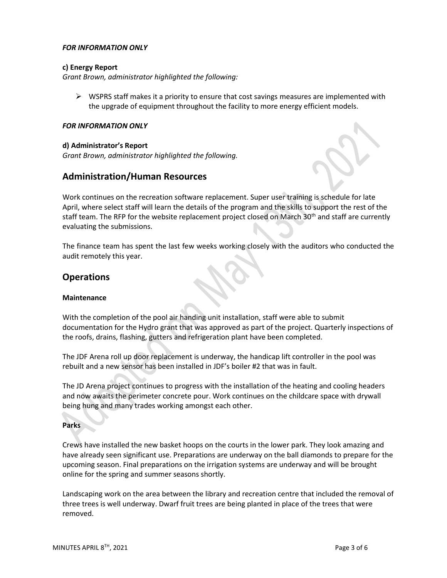#### *FOR INFORMATION ONLY*

#### **c) Energy Report**

*Grant Brown, administrator highlighted the following:*

 $\triangleright$  WSPRS staff makes it a priority to ensure that cost savings measures are implemented with the upgrade of equipment throughout the facility to more energy efficient models.

#### *FOR INFORMATION ONLY*

#### **d) Administrator's Report**

*Grant Brown, administrator highlighted the following.*

# **Administration/Human Resources**

Work continues on the recreation software replacement. Super user training is schedule for late April, where select staff will learn the details of the program and the skills to support the rest of the staff team. The RFP for the website replacement project closed on March 30<sup>th</sup> and staff are currently evaluating the submissions.

The finance team has spent the last few weeks working closely with the auditors who conducted the audit remotely this year.

## **Operations**

#### **Maintenance**

With the completion of the pool air handing unit installation, staff were able to submit documentation for the Hydro grant that was approved as part of the project. Quarterly inspections of the roofs, drains, flashing, gutters and refrigeration plant have been completed.

The JDF Arena roll up door replacement is underway, the handicap lift controller in the pool was rebuilt and a new sensor has been installed in JDF's boiler #2 that was in fault.

The JD Arena project continues to progress with the installation of the heating and cooling headers and now awaits the perimeter concrete pour. Work continues on the childcare space with drywall being hung and many trades working amongst each other.

#### **Parks**

Crews have installed the new basket hoops on the courts in the lower park. They look amazing and have already seen significant use. Preparations are underway on the ball diamonds to prepare for the upcoming season. Final preparations on the irrigation systems are underway and will be brought online for the spring and summer seasons shortly.

Landscaping work on the area between the library and recreation centre that included the removal of three trees is well underway. Dwarf fruit trees are being planted in place of the trees that were removed.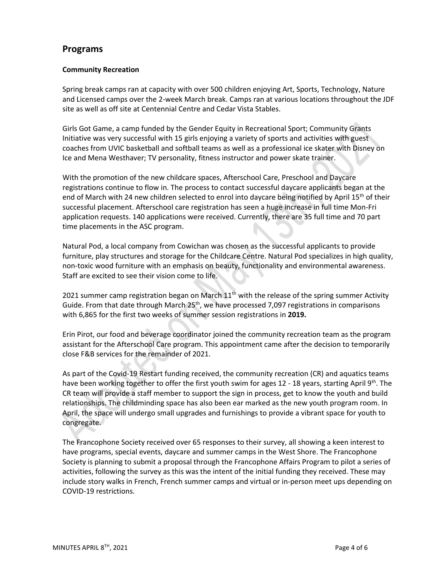# **Programs**

### **Community Recreation**

Spring break camps ran at capacity with over 500 children enjoying Art, Sports, Technology, Nature and Licensed camps over the 2-week March break. Camps ran at various locations throughout the JDF site as well as off site at Centennial Centre and Cedar Vista Stables.

Girls Got Game, a camp funded by the Gender Equity in Recreational Sport; Community Grants Initiative was very successful with 15 girls enjoying a variety of sports and activities with guest coaches from UVIC basketball and softball teams as well as a professional ice skater with Disney on Ice and Mena Westhaver; TV personality, fitness instructor and power skate trainer.

With the promotion of the new childcare spaces, Afterschool Care, Preschool and Daycare registrations continue to flow in. The process to contact successful daycare applicants began at the end of March with 24 new children selected to enrol into daycare being notified by April 15<sup>th</sup> of their successful placement. Afterschool care registration has seen a huge increase in full time Mon-Fri application requests. 140 applications were received. Currently, there are 35 full time and 70 part time placements in the ASC program.

Natural Pod, a local company from Cowichan was chosen as the successful applicants to provide furniture, play structures and storage for the Childcare Centre. Natural Pod specializes in high quality, non-toxic wood furniture with an emphasis on beauty, functionality and environmental awareness. Staff are excited to see their vision come to life.

2021 summer camp registration began on March  $11<sup>th</sup>$  with the release of the spring summer Activity Guide. From that date through March  $25<sup>th</sup>$ , we have processed 7,097 registrations in comparisons with 6,865 for the first two weeks of summer session registrations in **2019.**

Erin Pirot, our food and beverage coordinator joined the community recreation team as the program assistant for the Afterschool Care program. This appointment came after the decision to temporarily close F&B services for the remainder of 2021.

As part of the Covid-19 Restart funding received, the community recreation (CR) and aquatics teams have been working together to offer the first youth swim for ages 12 - 18 years, starting April 9<sup>th</sup>. The CR team will provide a staff member to support the sign in process, get to know the youth and build relationships. The childminding space has also been ear marked as the new youth program room. In April, the space will undergo small upgrades and furnishings to provide a vibrant space for youth to congregate.

The Francophone Society received over 65 responses to their survey, all showing a keen interest to have programs, special events, daycare and summer camps in the West Shore. The Francophone Society is planning to submit a proposal through the Francophone Affairs Program to pilot a series of activities, following the survey as this was the intent of the initial funding they received. These may include story walks in French, French summer camps and virtual or in-person meet ups depending on COVID-19 restrictions.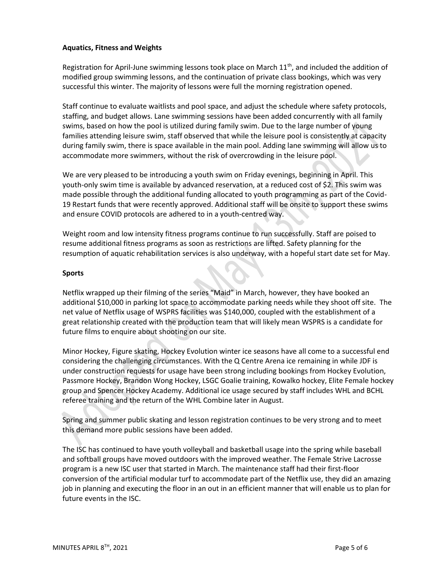### **Aquatics, Fitness and Weights**

Registration for April-June swimming lessons took place on March  $11<sup>th</sup>$ , and included the addition of modified group swimming lessons, and the continuation of private class bookings, which was very successful this winter. The majority of lessons were full the morning registration opened.

Staff continue to evaluate waitlists and pool space, and adjust the schedule where safety protocols, staffing, and budget allows. Lane swimming sessions have been added concurrently with all family swims, based on how the pool is utilized during family swim. Due to the large number of young families attending leisure swim, staff observed that while the leisure pool is consistently at capacity during family swim, there is space available in the main pool. Adding lane swimming will allow us to accommodate more swimmers, without the risk of overcrowding in the leisure pool.

We are very pleased to be introducing a youth swim on Friday evenings, beginning in April. This youth-only swim time is available by advanced reservation, at a reduced cost of \$2. This swim was made possible through the additional funding allocated to youth programming as part of the Covid-19 Restart funds that were recently approved. Additional staff will be onsite to support these swims and ensure COVID protocols are adhered to in a youth-centred way.

Weight room and low intensity fitness programs continue to run successfully. Staff are poised to resume additional fitness programs as soon as restrictions are lifted. Safety planning for the resumption of aquatic rehabilitation services is also underway, with a hopeful start date set for May.

#### **Sports**

Netflix wrapped up their filming of the series "Maid" in March, however, they have booked an additional \$10,000 in parking lot space to accommodate parking needs while they shoot off site. The net value of Netflix usage of WSPRS facilities was \$140,000, coupled with the establishment of a great relationship created with the production team that will likely mean WSPRS is a candidate for future films to enquire about shooting on our site.

Minor Hockey, Figure skating, Hockey Evolution winter ice seasons have all come to a successful end considering the challenging circumstances. With the Q Centre Arena ice remaining in while JDF is under construction requests for usage have been strong including bookings from Hockey Evolution, Passmore Hockey, Brandon Wong Hockey, LSGC Goalie training, Kowalko hockey, Elite Female hockey group and Spencer Hockey Academy. Additional ice usage secured by staff includes WHL and BCHL referee training and the return of the WHL Combine later in August.

Spring and summer public skating and lesson registration continues to be very strong and to meet this demand more public sessions have been added.

The ISC has continued to have youth volleyball and basketball usage into the spring while baseball and softball groups have moved outdoors with the improved weather. The Female Strive Lacrosse program is a new ISC user that started in March. The maintenance staff had their first-floor conversion of the artificial modular turf to accommodate part of the Netflix use, they did an amazing job in planning and executing the floor in an out in an efficient manner that will enable us to plan for future events in the ISC.